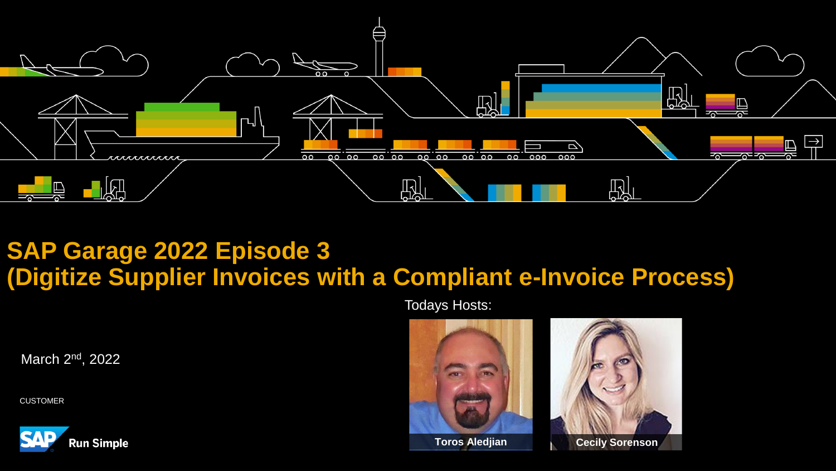

# **SAP Garage 2022 Episode 3 (Digitize Supplier Invoices with a Compliant e-Invoice Process)**

Todays Hosts:

March 2<sup>nd</sup>, 2022

CUSTOMER





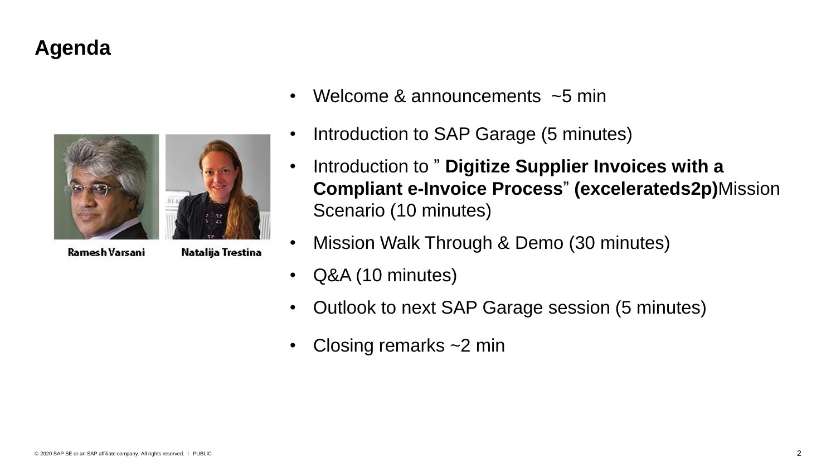# **Agenda**



Ramesh Varsani

Natalija Trestina

- Welcome & announcements  $\sim$  5 min
- Introduction to SAP Garage (5 minutes)
- Introduction to " **Digitize Supplier Invoices with a Compliant e-Invoice Process**" **(excelerateds2p)**Mission Scenario (10 minutes)
- Mission Walk Through & Demo (30 minutes)
- Q&A (10 minutes)
- Outlook to next SAP Garage session (5 minutes)
- Closing remarks  $\sim$  2 min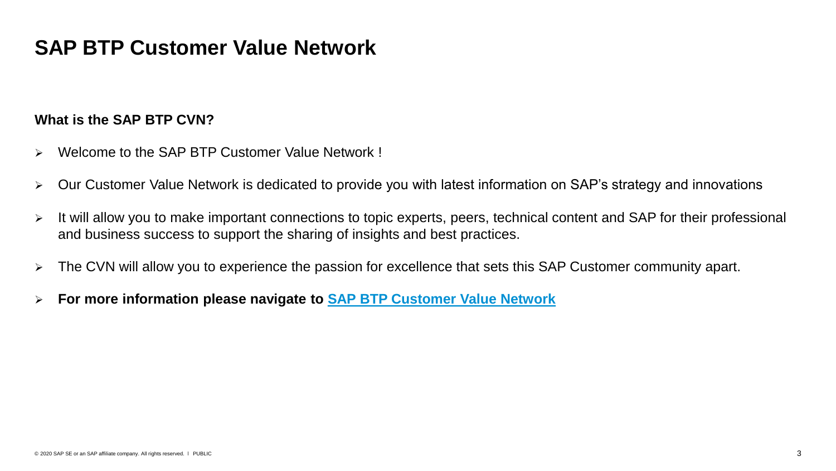## **SAP BTP Customer Value Network**

#### **What is the SAP BTP CVN?**

- ➢ Welcome to the SAP BTP Customer Value Network !
- ➢ Our Customer Value Network is dedicated to provide you with latest information on SAP's strategy and innovations
- ➢ It will allow you to make important connections to topic experts, peers, technical content and SAP for their professional and business success to support the sharing of insights and best practices.
- ➢ The CVN will allow you to experience the passion for excellence that sets this SAP Customer community apart.
- ➢ **For more information please navigate to [SAP BTP Customer Value Network](https://webinars.sap.com/2021-12-31-sap-btp-customer-value-network-global/en/home)**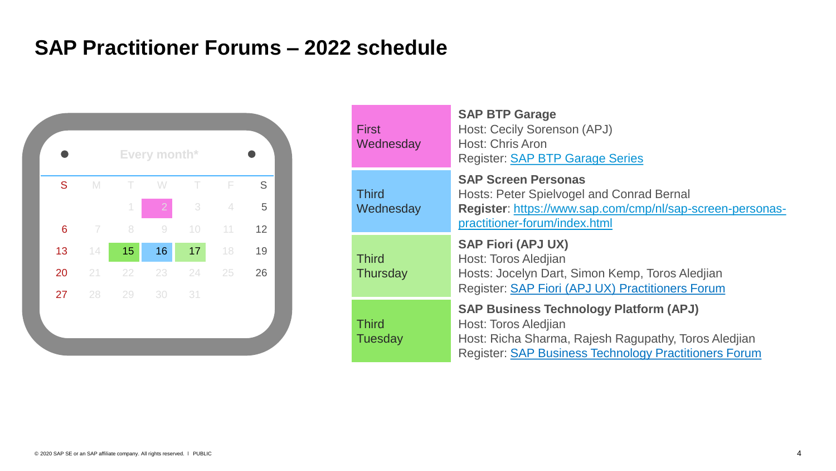# **SAP Practitioner Forums – 2022 schedule**



| <b>First</b><br>Wednesday      | <b>SAP BTP Garage</b><br>Host: Cecily Sorenson (APJ)<br><b>Host: Chris Aron</b><br><b>Register: SAP BTP Garage Series</b>                                                                     |
|--------------------------------|-----------------------------------------------------------------------------------------------------------------------------------------------------------------------------------------------|
| <b>Third</b><br>Wednesday      | <b>SAP Screen Personas</b><br>Hosts: Peter Spielvogel and Conrad Bernal<br>Register: https://www.sap.com/cmp/nl/sap-screen-personas-<br>practitioner-forum/index.html                         |
| <b>Third</b><br>Thursday       | <b>SAP Fiori (APJ UX)</b><br>Host: Toros Aledjian<br>Hosts: Jocelyn Dart, Simon Kemp, Toros Aledjian<br>Register: SAP Fiori (APJ UX) Practitioners Forum                                      |
| <b>Third</b><br><b>Tuesday</b> | <b>SAP Business Technology Platform (APJ)</b><br>Host: Toros Aledjian<br>Host: Richa Sharma, Rajesh Ragupathy, Toros Aledjian<br><b>Register: SAP Business Technology Practitioners Forum</b> |